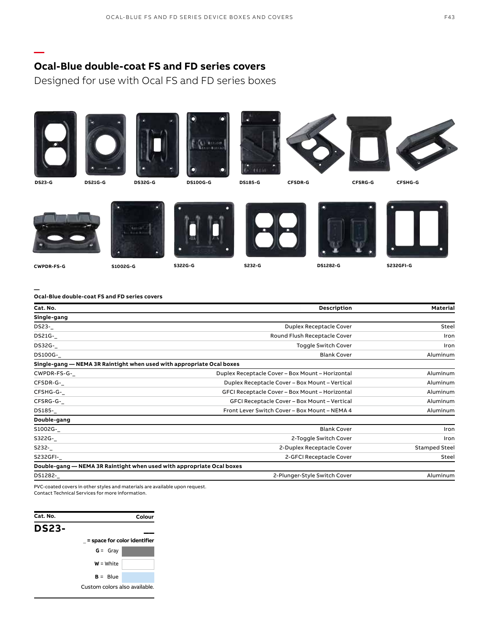# **Ocal-Blue double-coat FS and FD series covers**

**—**

Designed for use with Ocal FS and FD series boxes



| Double-gang                                                           |                           |                      |
|-----------------------------------------------------------------------|---------------------------|----------------------|
| S1002G-                                                               | <b>Blank Cover</b>        | Iron                 |
| S322G-                                                                | 2-Toggle Switch Cover     | Iron                 |
| S232-_                                                                | 2-Duplex Receptacle Cover | <b>Stamped Steel</b> |
| S232GFI-                                                              | 2-GFCI Receptacle Cover   | Steel                |
| Double-gang — NEMA 3R Raintight when used with appropriate Ocal boxes |                           |                      |

DS1282-\_ 2-Plunger-Style Switch Cover Aluminum

PVC-coated covers in other styles and materials are available upon request.

Contact Technical Services for more information.